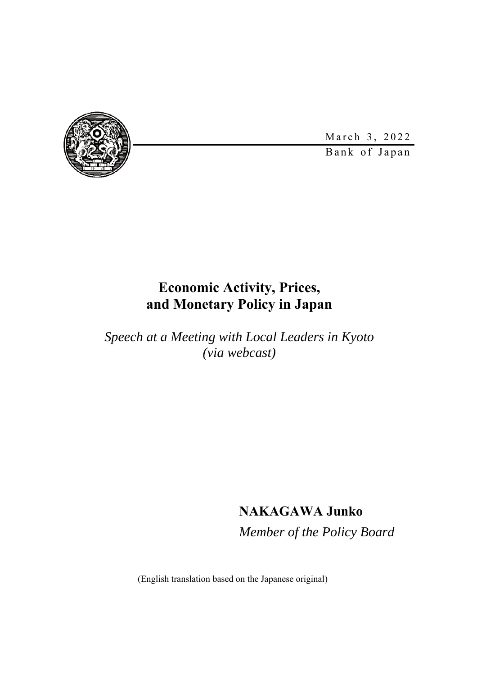

March 3, 2022

Bank of Japan

### **Economic Activity, Prices, and Monetary Policy in Japan**

*Speech at a Meeting with Local Leaders in Kyoto (via webcast)* 

### **NAKAGAWA Junko**

*Member of the Policy Board* 

(English translation based on the Japanese original)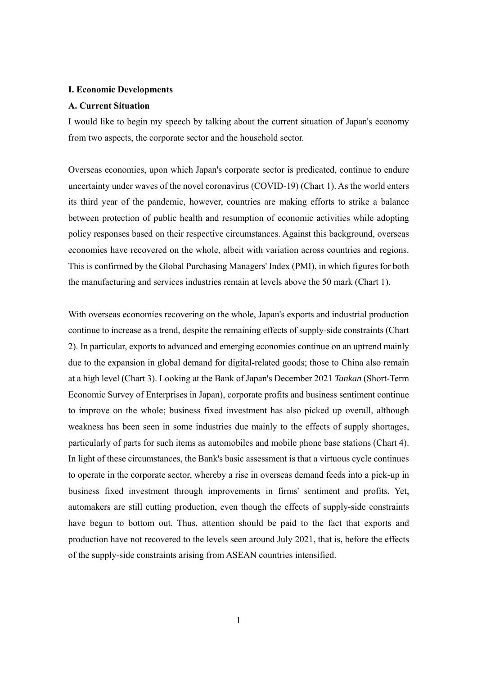#### **I. Economic Developments**

#### **A. Current Situation**

I would like to begin my speech by talking about the current situation of Japan's economy from two aspects, the corporate sector and the household sector.

Overseas economies, upon which Japan's corporate sector is predicated, continue to endure uncertainty under waves of the novel coronavirus (COVID-19) (Chart 1). As the world enters its third year of the pandemic, however, countries are making efforts to strike a balance between protection of public health and resumption of economic activities while adopting policy responses based on their respective circumstances. Against this background, overseas economies have recovered on the whole, albeit with variation across countries and regions. This is confirmed by the Global Purchasing Managers' Index (PMI), in which figures for both the manufacturing and services industries remain at levels above the 50 mark (Chart 1).

With overseas economies recovering on the whole, Japan's exports and industrial production continue to increase as a trend, despite the remaining effects of supply-side constraints (Chart 2). In particular, exports to advanced and emerging economies continue on an uptrend mainly due to the expansion in global demand for digital-related goods; those to China also remain at a high level (Chart 3). Looking at the Bank of Japan's December 2021 *Tankan* (Short-Term Economic Survey of Enterprises in Japan), corporate profits and business sentiment continue to improve on the whole; business fixed investment has also picked up overall, although weakness has been seen in some industries due mainly to the effects of supply shortages, particularly of parts for such items as automobiles and mobile phone base stations (Chart 4). In light of these circumstances, the Bank's basic assessment is that a virtuous cycle continues to operate in the corporate sector, whereby a rise in overseas demand feeds into a pick-up in business fixed investment through improvements in firms' sentiment and profits. Yet, automakers are still cutting production, even though the effects of supply-side constraints have begun to bottom out. Thus, attention should be paid to the fact that exports and production have not recovered to the levels seen around July 2021, that is, before the effects of the supply-side constraints arising from ASEAN countries intensified.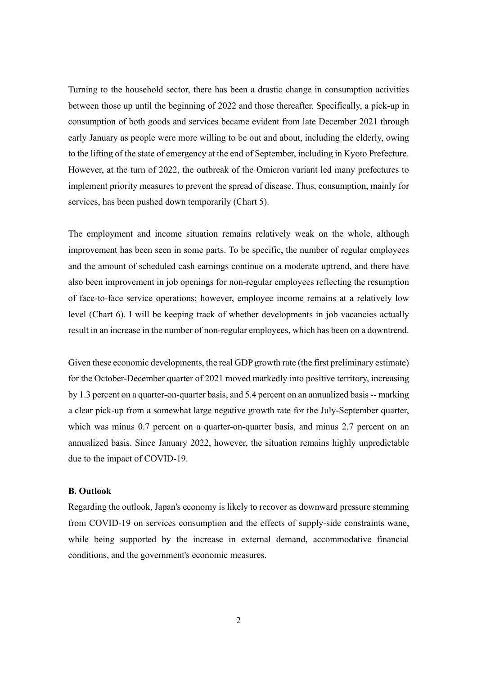Turning to the household sector, there has been a drastic change in consumption activities between those up until the beginning of 2022 and those thereafter. Specifically, a pick-up in consumption of both goods and services became evident from late December 2021 through early January as people were more willing to be out and about, including the elderly, owing to the lifting of the state of emergency at the end of September, including in Kyoto Prefecture. However, at the turn of 2022, the outbreak of the Omicron variant led many prefectures to implement priority measures to prevent the spread of disease. Thus, consumption, mainly for services, has been pushed down temporarily (Chart 5).

The employment and income situation remains relatively weak on the whole, although improvement has been seen in some parts. To be specific, the number of regular employees and the amount of scheduled cash earnings continue on a moderate uptrend, and there have also been improvement in job openings for non-regular employees reflecting the resumption of face-to-face service operations; however, employee income remains at a relatively low level (Chart 6). I will be keeping track of whether developments in job vacancies actually result in an increase in the number of non-regular employees, which has been on a downtrend.

Given these economic developments, the real GDP growth rate (the first preliminary estimate) for the October-December quarter of 2021 moved markedly into positive territory, increasing by 1.3 percent on a quarter-on-quarter basis, and 5.4 percent on an annualized basis -- marking a clear pick-up from a somewhat large negative growth rate for the July-September quarter, which was minus 0.7 percent on a quarter-on-quarter basis, and minus 2.7 percent on an annualized basis. Since January 2022, however, the situation remains highly unpredictable due to the impact of COVID-19.

#### **B. Outlook**

Regarding the outlook, Japan's economy is likely to recover as downward pressure stemming from COVID-19 on services consumption and the effects of supply-side constraints wane, while being supported by the increase in external demand, accommodative financial conditions, and the government's economic measures.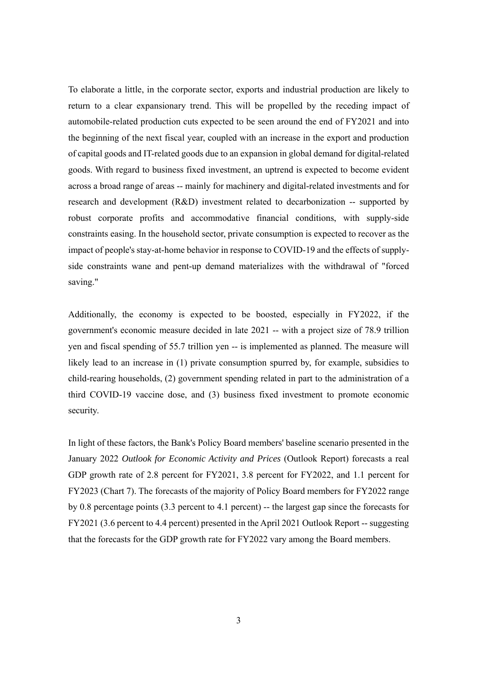To elaborate a little, in the corporate sector, exports and industrial production are likely to return to a clear expansionary trend. This will be propelled by the receding impact of automobile-related production cuts expected to be seen around the end of FY2021 and into the beginning of the next fiscal year, coupled with an increase in the export and production of capital goods and IT-related goods due to an expansion in global demand for digital-related goods. With regard to business fixed investment, an uptrend is expected to become evident across a broad range of areas -- mainly for machinery and digital-related investments and for research and development (R&D) investment related to decarbonization -- supported by robust corporate profits and accommodative financial conditions, with supply-side constraints easing. In the household sector, private consumption is expected to recover as the impact of people's stay-at-home behavior in response to COVID-19 and the effects of supplyside constraints wane and pent-up demand materializes with the withdrawal of "forced saving."

Additionally, the economy is expected to be boosted, especially in FY2022, if the government's economic measure decided in late 2021 -- with a project size of 78.9 trillion yen and fiscal spending of 55.7 trillion yen -- is implemented as planned. The measure will likely lead to an increase in (1) private consumption spurred by, for example, subsidies to child-rearing households, (2) government spending related in part to the administration of a third COVID-19 vaccine dose, and (3) business fixed investment to promote economic security.

In light of these factors, the Bank's Policy Board members' baseline scenario presented in the January 2022 *Outlook for Economic Activity and Prices* (Outlook Report) forecasts a real GDP growth rate of 2.8 percent for FY2021, 3.8 percent for FY2022, and 1.1 percent for FY2023 (Chart 7). The forecasts of the majority of Policy Board members for FY2022 range by 0.8 percentage points (3.3 percent to 4.1 percent) -- the largest gap since the forecasts for FY2021 (3.6 percent to 4.4 percent) presented in the April 2021 Outlook Report -- suggesting that the forecasts for the GDP growth rate for FY2022 vary among the Board members.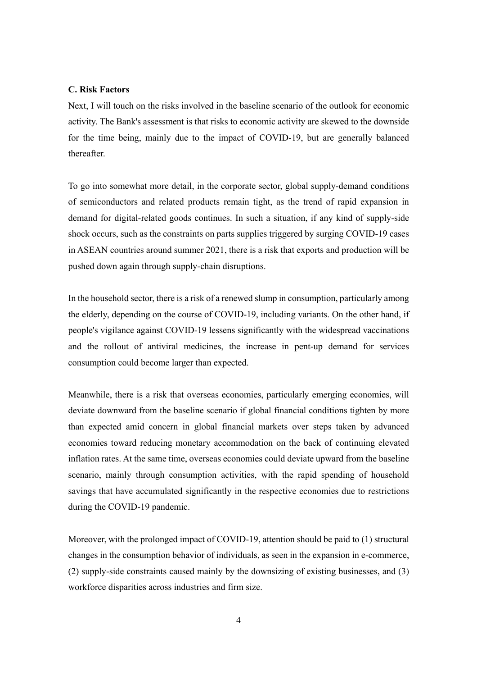#### **C. Risk Factors**

Next, I will touch on the risks involved in the baseline scenario of the outlook for economic activity. The Bank's assessment is that risks to economic activity are skewed to the downside for the time being, mainly due to the impact of COVID-19, but are generally balanced thereafter.

To go into somewhat more detail, in the corporate sector, global supply-demand conditions of semiconductors and related products remain tight, as the trend of rapid expansion in demand for digital-related goods continues. In such a situation, if any kind of supply-side shock occurs, such as the constraints on parts supplies triggered by surging COVID-19 cases in ASEAN countries around summer 2021, there is a risk that exports and production will be pushed down again through supply-chain disruptions.

In the household sector, there is a risk of a renewed slump in consumption, particularly among the elderly, depending on the course of COVID-19, including variants. On the other hand, if people's vigilance against COVID-19 lessens significantly with the widespread vaccinations and the rollout of antiviral medicines, the increase in pent-up demand for services consumption could become larger than expected.

Meanwhile, there is a risk that overseas economies, particularly emerging economies, will deviate downward from the baseline scenario if global financial conditions tighten by more than expected amid concern in global financial markets over steps taken by advanced economies toward reducing monetary accommodation on the back of continuing elevated inflation rates. At the same time, overseas economies could deviate upward from the baseline scenario, mainly through consumption activities, with the rapid spending of household savings that have accumulated significantly in the respective economies due to restrictions during the COVID-19 pandemic.

Moreover, with the prolonged impact of COVID-19, attention should be paid to (1) structural changes in the consumption behavior of individuals, as seen in the expansion in e-commerce, (2) supply-side constraints caused mainly by the downsizing of existing businesses, and (3) workforce disparities across industries and firm size.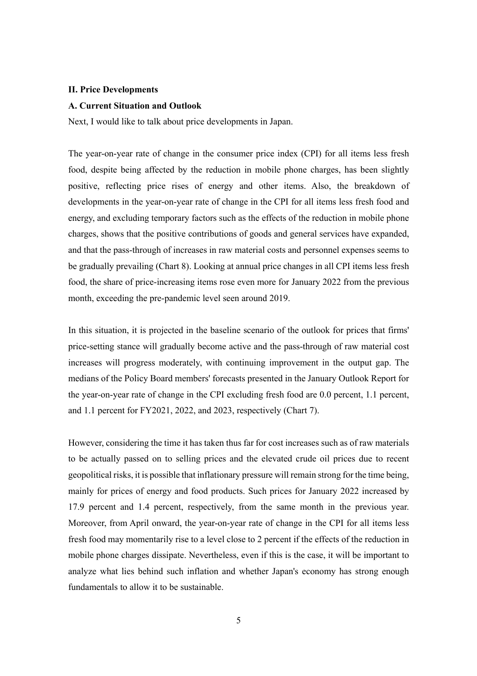#### **II. Price Developments**

#### **A. Current Situation and Outlook**

Next, I would like to talk about price developments in Japan.

The year-on-year rate of change in the consumer price index (CPI) for all items less fresh food, despite being affected by the reduction in mobile phone charges, has been slightly positive, reflecting price rises of energy and other items. Also, the breakdown of developments in the year-on-year rate of change in the CPI for all items less fresh food and energy, and excluding temporary factors such as the effects of the reduction in mobile phone charges, shows that the positive contributions of goods and general services have expanded, and that the pass-through of increases in raw material costs and personnel expenses seems to be gradually prevailing (Chart 8). Looking at annual price changes in all CPI items less fresh food, the share of price-increasing items rose even more for January 2022 from the previous month, exceeding the pre-pandemic level seen around 2019.

In this situation, it is projected in the baseline scenario of the outlook for prices that firms' price-setting stance will gradually become active and the pass-through of raw material cost increases will progress moderately, with continuing improvement in the output gap. The medians of the Policy Board members' forecasts presented in the January Outlook Report for the year-on-year rate of change in the CPI excluding fresh food are 0.0 percent, 1.1 percent, and 1.1 percent for FY2021, 2022, and 2023, respectively (Chart 7).

However, considering the time it has taken thus far for cost increases such as of raw materials to be actually passed on to selling prices and the elevated crude oil prices due to recent geopolitical risks, it is possible that inflationary pressure will remain strong for the time being, mainly for prices of energy and food products. Such prices for January 2022 increased by 17.9 percent and 1.4 percent, respectively, from the same month in the previous year. Moreover, from April onward, the year-on-year rate of change in the CPI for all items less fresh food may momentarily rise to a level close to 2 percent if the effects of the reduction in mobile phone charges dissipate. Nevertheless, even if this is the case, it will be important to analyze what lies behind such inflation and whether Japan's economy has strong enough fundamentals to allow it to be sustainable.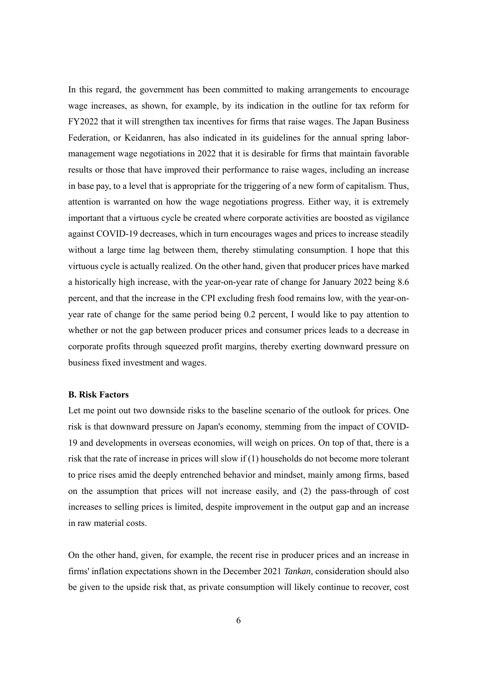In this regard, the government has been committed to making arrangements to encourage wage increases, as shown, for example, by its indication in the outline for tax reform for FY2022 that it will strengthen tax incentives for firms that raise wages. The Japan Business Federation, or Keidanren, has also indicated in its guidelines for the annual spring labormanagement wage negotiations in 2022 that it is desirable for firms that maintain favorable results or those that have improved their performance to raise wages, including an increase in base pay, to a level that is appropriate for the triggering of a new form of capitalism. Thus, attention is warranted on how the wage negotiations progress. Either way, it is extremely important that a virtuous cycle be created where corporate activities are boosted as vigilance against COVID-19 decreases, which in turn encourages wages and prices to increase steadily without a large time lag between them, thereby stimulating consumption. I hope that this virtuous cycle is actually realized. On the other hand, given that producer prices have marked a historically high increase, with the year-on-year rate of change for January 2022 being 8.6 percent, and that the increase in the CPI excluding fresh food remains low, with the year-onyear rate of change for the same period being 0.2 percent, I would like to pay attention to whether or not the gap between producer prices and consumer prices leads to a decrease in corporate profits through squeezed profit margins, thereby exerting downward pressure on business fixed investment and wages.

#### **B. Risk Factors**

Let me point out two downside risks to the baseline scenario of the outlook for prices. One risk is that downward pressure on Japan's economy, stemming from the impact of COVID-19 and developments in overseas economies, will weigh on prices. On top of that, there is a risk that the rate of increase in prices will slow if (1) households do not become more tolerant to price rises amid the deeply entrenched behavior and mindset, mainly among firms, based on the assumption that prices will not increase easily, and (2) the pass-through of cost increases to selling prices is limited, despite improvement in the output gap and an increase in raw material costs.

On the other hand, given, for example, the recent rise in producer prices and an increase in firms' inflation expectations shown in the December 2021 *Tankan*, consideration should also be given to the upside risk that, as private consumption will likely continue to recover, cost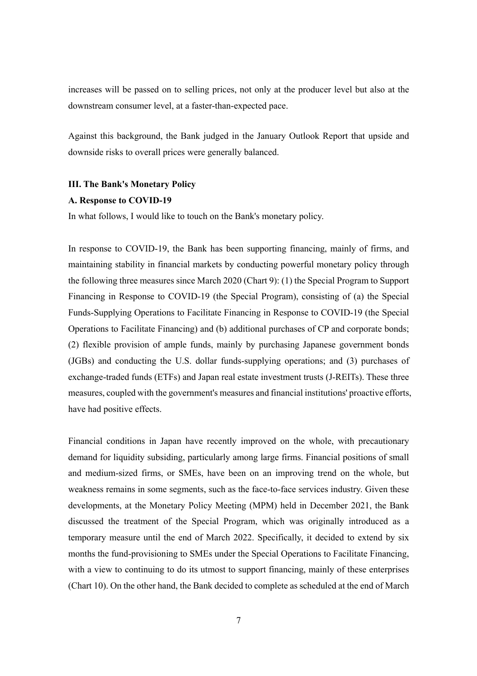increases will be passed on to selling prices, not only at the producer level but also at the downstream consumer level, at a faster-than-expected pace.

Against this background, the Bank judged in the January Outlook Report that upside and downside risks to overall prices were generally balanced.

#### **III. The Bank's Monetary Policy**

#### **A. Response to COVID-19**

In what follows, I would like to touch on the Bank's monetary policy.

In response to COVID-19, the Bank has been supporting financing, mainly of firms, and maintaining stability in financial markets by conducting powerful monetary policy through the following three measures since March 2020 (Chart 9): (1) the Special Program to Support Financing in Response to COVID-19 (the Special Program), consisting of (a) the Special Funds-Supplying Operations to Facilitate Financing in Response to COVID-19 (the Special Operations to Facilitate Financing) and (b) additional purchases of CP and corporate bonds; (2) flexible provision of ample funds, mainly by purchasing Japanese government bonds (JGBs) and conducting the U.S. dollar funds-supplying operations; and (3) purchases of exchange-traded funds (ETFs) and Japan real estate investment trusts (J-REITs). These three measures, coupled with the government's measures and financial institutions' proactive efforts, have had positive effects.

Financial conditions in Japan have recently improved on the whole, with precautionary demand for liquidity subsiding, particularly among large firms. Financial positions of small and medium-sized firms, or SMEs, have been on an improving trend on the whole, but weakness remains in some segments, such as the face-to-face services industry. Given these developments, at the Monetary Policy Meeting (MPM) held in December 2021, the Bank discussed the treatment of the Special Program, which was originally introduced as a temporary measure until the end of March 2022. Specifically, it decided to extend by six months the fund-provisioning to SMEs under the Special Operations to Facilitate Financing, with a view to continuing to do its utmost to support financing, mainly of these enterprises (Chart 10). On the other hand, the Bank decided to complete as scheduled at the end of March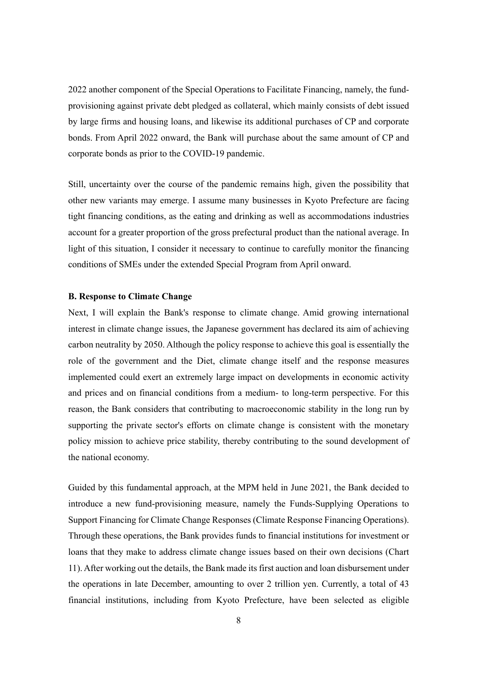2022 another component of the Special Operations to Facilitate Financing, namely, the fundprovisioning against private debt pledged as collateral, which mainly consists of debt issued by large firms and housing loans, and likewise its additional purchases of CP and corporate bonds. From April 2022 onward, the Bank will purchase about the same amount of CP and corporate bonds as prior to the COVID-19 pandemic.

Still, uncertainty over the course of the pandemic remains high, given the possibility that other new variants may emerge. I assume many businesses in Kyoto Prefecture are facing tight financing conditions, as the eating and drinking as well as accommodations industries account for a greater proportion of the gross prefectural product than the national average. In light of this situation, I consider it necessary to continue to carefully monitor the financing conditions of SMEs under the extended Special Program from April onward.

### **B. Response to Climate Change**

Next, I will explain the Bank's response to climate change. Amid growing international interest in climate change issues, the Japanese government has declared its aim of achieving carbon neutrality by 2050. Although the policy response to achieve this goal is essentially the role of the government and the Diet, climate change itself and the response measures implemented could exert an extremely large impact on developments in economic activity and prices and on financial conditions from a medium- to long-term perspective. For this reason, the Bank considers that contributing to macroeconomic stability in the long run by supporting the private sector's efforts on climate change is consistent with the monetary policy mission to achieve price stability, thereby contributing to the sound development of the national economy.

Guided by this fundamental approach, at the MPM held in June 2021, the Bank decided to introduce a new fund-provisioning measure, namely the Funds-Supplying Operations to Support Financing for Climate Change Responses (Climate Response Financing Operations). Through these operations, the Bank provides funds to financial institutions for investment or loans that they make to address climate change issues based on their own decisions (Chart 11). After working out the details, the Bank made its first auction and loan disbursement under the operations in late December, amounting to over 2 trillion yen. Currently, a total of 43 financial institutions, including from Kyoto Prefecture, have been selected as eligible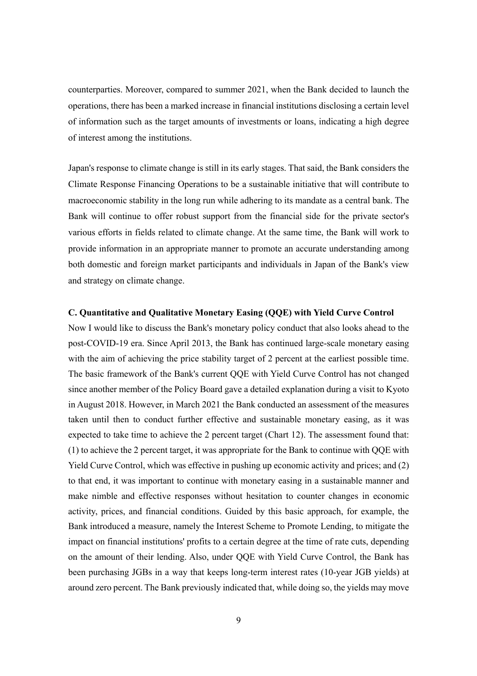counterparties. Moreover, compared to summer 2021, when the Bank decided to launch the operations, there has been a marked increase in financial institutions disclosing a certain level of information such as the target amounts of investments or loans, indicating a high degree of interest among the institutions.

Japan's response to climate change is still in its early stages. That said, the Bank considers the Climate Response Financing Operations to be a sustainable initiative that will contribute to macroeconomic stability in the long run while adhering to its mandate as a central bank. The Bank will continue to offer robust support from the financial side for the private sector's various efforts in fields related to climate change. At the same time, the Bank will work to provide information in an appropriate manner to promote an accurate understanding among both domestic and foreign market participants and individuals in Japan of the Bank's view and strategy on climate change.

### **C. Quantitative and Qualitative Monetary Easing (QQE) with Yield Curve Control**

Now I would like to discuss the Bank's monetary policy conduct that also looks ahead to the post-COVID-19 era. Since April 2013, the Bank has continued large-scale monetary easing with the aim of achieving the price stability target of 2 percent at the earliest possible time. The basic framework of the Bank's current QQE with Yield Curve Control has not changed since another member of the Policy Board gave a detailed explanation during a visit to Kyoto in August 2018. However, in March 2021 the Bank conducted an assessment of the measures taken until then to conduct further effective and sustainable monetary easing, as it was expected to take time to achieve the 2 percent target (Chart 12). The assessment found that: (1) to achieve the 2 percent target, it was appropriate for the Bank to continue with QQE with Yield Curve Control, which was effective in pushing up economic activity and prices; and (2) to that end, it was important to continue with monetary easing in a sustainable manner and make nimble and effective responses without hesitation to counter changes in economic activity, prices, and financial conditions. Guided by this basic approach, for example, the Bank introduced a measure, namely the Interest Scheme to Promote Lending, to mitigate the impact on financial institutions' profits to a certain degree at the time of rate cuts, depending on the amount of their lending. Also, under QQE with Yield Curve Control, the Bank has been purchasing JGBs in a way that keeps long-term interest rates (10-year JGB yields) at around zero percent. The Bank previously indicated that, while doing so, the yields may move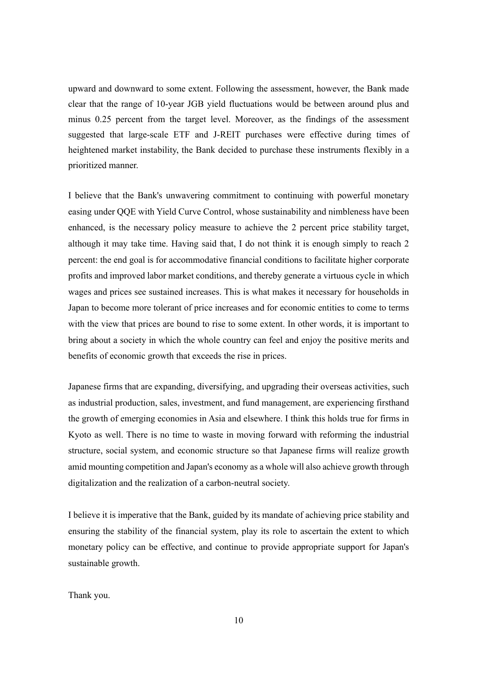upward and downward to some extent. Following the assessment, however, the Bank made clear that the range of 10-year JGB yield fluctuations would be between around plus and minus 0.25 percent from the target level. Moreover, as the findings of the assessment suggested that large-scale ETF and J-REIT purchases were effective during times of heightened market instability, the Bank decided to purchase these instruments flexibly in a prioritized manner.

I believe that the Bank's unwavering commitment to continuing with powerful monetary easing under QQE with Yield Curve Control, whose sustainability and nimbleness have been enhanced, is the necessary policy measure to achieve the 2 percent price stability target, although it may take time. Having said that, I do not think it is enough simply to reach 2 percent: the end goal is for accommodative financial conditions to facilitate higher corporate profits and improved labor market conditions, and thereby generate a virtuous cycle in which wages and prices see sustained increases. This is what makes it necessary for households in Japan to become more tolerant of price increases and for economic entities to come to terms with the view that prices are bound to rise to some extent. In other words, it is important to bring about a society in which the whole country can feel and enjoy the positive merits and benefits of economic growth that exceeds the rise in prices.

Japanese firms that are expanding, diversifying, and upgrading their overseas activities, such as industrial production, sales, investment, and fund management, are experiencing firsthand the growth of emerging economies in Asia and elsewhere. I think this holds true for firms in Kyoto as well. There is no time to waste in moving forward with reforming the industrial structure, social system, and economic structure so that Japanese firms will realize growth amid mounting competition and Japan's economy as a whole will also achieve growth through digitalization and the realization of a carbon-neutral society.

I believe it is imperative that the Bank, guided by its mandate of achieving price stability and ensuring the stability of the financial system, play its role to ascertain the extent to which monetary policy can be effective, and continue to provide appropriate support for Japan's sustainable growth.

Thank you.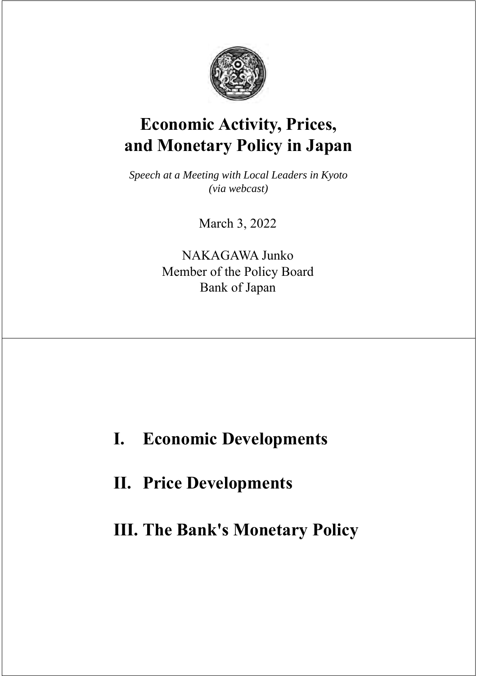

# **Economic Activity, Prices, and Monetary Policy in Japan**

*Speech at a Meeting with Local Leaders in Kyoto (via webcast)* 

March 3, 2022

NAKAGAWA Junko Member of the Policy Board Bank of Japan

# **I. Economic Developments**

**II. Price Developments**

**III. The Bank's Monetary Policy**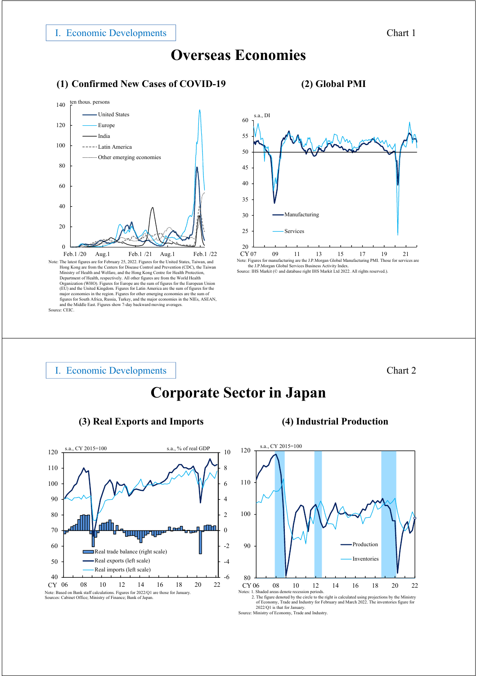### **Overseas Economies**

### **(1) Confirmed New Cases of COVID-19 (2) Global PMI**



Hong Kong are from the Centers for Disease Control and Prevention (CDC), the Taiwan<br>Ministry of Health and Welfare, and the Hong Kong Centre for Health Protection,<br>Department of Health, respectively. All other figures are major economies in the region. Figures for other emerging economies are the sum of<br>figures for South Africa, Russia, Turkey, and the major economies in the NIEs, ASEAN,<br>and the Middle East. Figures show 7-day backward movi Source: CEIC.

### $20$ 25 30 35 40 45 50 55 60 Manufacturing Services s.a., DI  $CY<sub>07</sub>$

 $CY$  07 09 11 13 15 17 19 21<br>Note: Figures for manufacturing are the J.P.Morgan Global Manufacturing PMI. Those for services are<br>the J.P.Morgan Global Sarvices Business Activity Index.<br>Source: IHS Markit (© and database ri

### I. Economic Developments

### Chart 2

## **Corporate Sector in Japan**





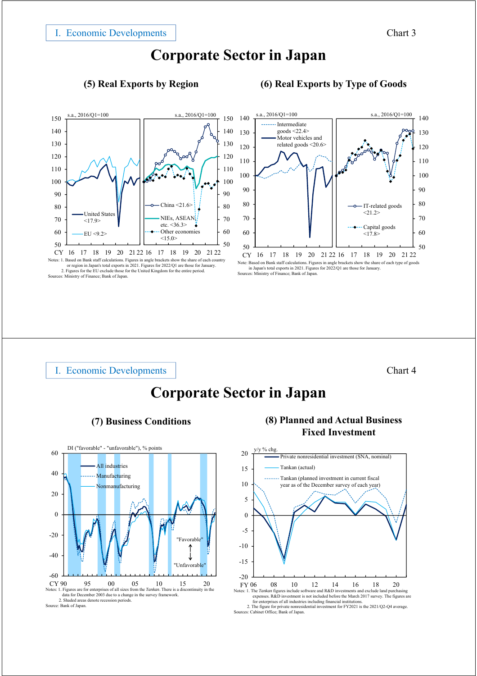### **Corporate Sector in Japan**

### **(5) Real Exports by Region (6) Real Exports by Type of Goods**



Notes: 1. Based on Bank staff calculations. Figures in angle brackets show the share of each country or region in Japan's total exports in 2021. Figures for 2022/Q1 are those for January. 2. Figures for the EU exclude those for the United Kingdom for the entire period. Sources: Ministry of Finance; Bank of Japan.



Note: Based on Bank staff calculations. Figures in angle brackets show the share of each type of goods in Japan's total exports in 2021. Figures for 2022/Q1 are those for January.

Sources: Ministry of Finance; Bank of Japan.

### I. Economic Developments

### Chart 4

## **Corporate Sector in Japan**







**Fixed Investment**

<sup>2.</sup> The figure for private nonresidential investment for FY2021 is the 2021/Q2-Q4 average. Sources: Cabinet Office; Bank of Japan.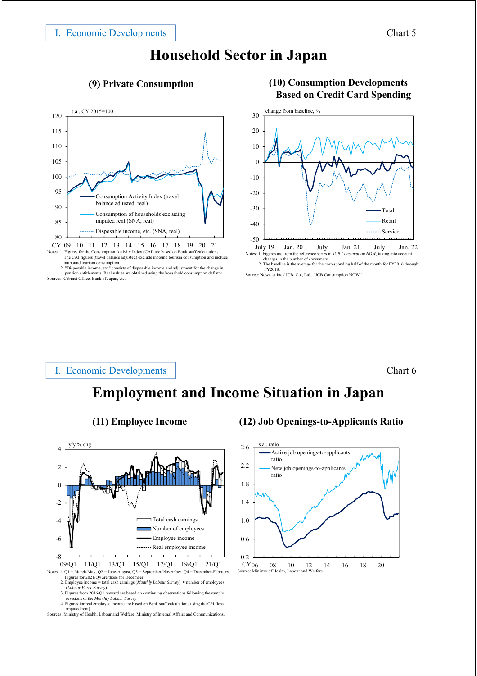### **Household Sector in Japan**



Notes: 1. Figures for the Consumption Activity Index (CAI) are based on Bank staff calculations. The CAI figures (travel balance adjusted) exclude inbound tourism consumption and include outbound tourism consumption.<br>2. "Disposable income, etc." consists of disposable income and adjustment for the change in

pension entitlements. Real values are obtained using the household consumption deflator. Sources: Cabinet Office; Bank of Japan, etc.



2. The baseline is the average for the corresponding half of the month for FY2016 through FY2018. Source: Nowcast Inc./ JCB, Co., Ltd., "JCB Consumption NOW."

### I. Economic Developments

Chart 6

### **Employment and Income Situation in Japan**



<sup>2.</sup> Employee income = total cash earnings (*Monthly Labour Survey*) × number of employees

- (*Labour Force Survey*) 3. Figures from 2016/Q1 onward are based on continuing observations following the sample
- revisions of the *Monthly Labour Survey*. 4. Figures for real employee income are based on Bank staff calculations using the CPI (less

imputed rent). Sources: Ministry of Health, Labour and Welfare; Ministry of Internal Affairs and Communications.

### **(11) Employee Income (12) Job Openings-to-Applicants Ratio**



### **(9) Private Consumption (10) Consumption Developments Based on Credit Card Spending**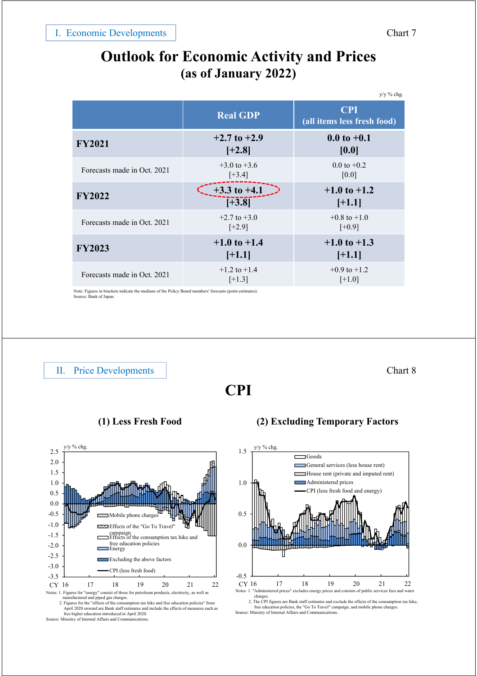### **Outlook for Economic Activity and Prices (as of January 2022)**

|                             | $y/y$ % chg.                 |                                           |  |
|-----------------------------|------------------------------|-------------------------------------------|--|
|                             | <b>Real GDP</b>              | <b>CPI</b><br>(all items less fresh food) |  |
| <b>FY2021</b>               | $+2.7$ to $+2.9$<br>$[+2.8]$ | $0.0$ to $+0.1$<br>[0.0]                  |  |
| Forecasts made in Oct. 2021 | $+3.0$ to $+3.6$<br>$[+3.4]$ | $0.0$ to $+0.2$<br>[0.0]                  |  |
| <b>FY2022</b>               | $+3.3$ to $+4.1$<br>$[-3.8]$ | $+1.0$ to $+1.2$<br>$[+1.1]$              |  |
| Forecasts made in Oct. 2021 | $+2.7$ to $+3.0$<br>$[+2.9]$ | $+0.8$ to $+1.0$<br>$[+0.9]$              |  |
| <b>FY2023</b>               | $+1.0$ to $+1.4$<br>$[+1.1]$ | $+1.0$ to $+1.3$<br>$[+1.1]$              |  |
| Forecasts made in Oct. 2021 | $+1.2$ to $+1.4$<br>$[+1.3]$ | $+0.9$ to $+1.2$<br>$[+1.0]$              |  |

Note: Figures in brackets indicate the medians of the Policy Board members' forecasts (point estimates). Source: Bank of Japan.

II. Price Developments

-3.5 -3.0 -2.5 -2.0 -1.5 -1.0 -0.5 0.0 0.5 1.0 1.5 2.0 2.5 16 17 18 19 20 21 22 Mobile Effects of the "Go To Travel" campaign Effects of the consumption tax hike and free education policies **Z**Energy Excluding the above factors CPI (less fresh food) y/y % chg. Notes: 1. Figures for "energy" consist of those for petroleum products, electricity, as well as CY 16

manufactured and piped gas charges.<br>2. Figures for the "effects of the consumption tax hike and free education policies" from<br>April 2020 onward are Bank staff estimates and include the effects of measures such as<br>free high Source: Ministry of Internal Affairs and Communications

Chart 8

**CPI**



**<sup>(1)</sup> Less Fresh Food (2) Excluding Temporary Factors**

charges.<br>2. The CPI figures are Bank staff est 2. The CPI figures are Bank staff estimates and exclude the effects of the consumption tax hike,<br>free education policies, the "Go To Travel" campaign, and mobile phone charges.<br>Source: Ministry of Internal Affairs and Comm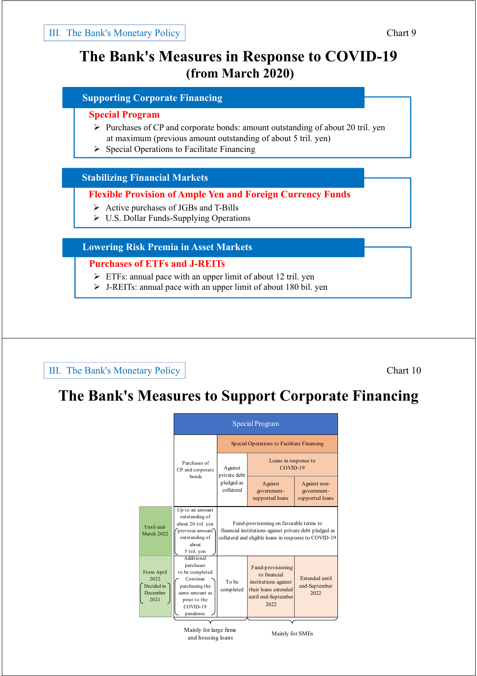### **The Bank's Measures in Response to COVID-19 (from March 2020)**

### **Supporting Corporate Financing**

### **Special Program**

- $\triangleright$  Purchases of CP and corporate bonds: amount outstanding of about 20 tril. yen at maximum (previous amount outstanding of about 5 tril. yen)
- $\triangleright$  Special Operations to Facilitate Financing

### **Stabilizing Financial Markets**

### **Flexible Provision of Ample Yen and Foreign Currency Funds**

- $\triangleright$  Active purchases of JGBs and T-Bills
- U.S. Dollar Funds-Supplying Operations

### **Lowering Risk Premia in Asset Markets**

### **Purchases of ETFs and J-REITs**

- $\triangleright$  ETFs: annual pace with an upper limit of about 12 tril. yen
- $\triangleright$  J-REITs: annual pace with an upper limit of about 180 bil. yen

### III. The Bank's Monetary Policy

### Chart 10

### **The Bank's Measures to Support Corporate Financing**

|                                                      | <b>Special Program</b>                                                                                                             |                                                                                                                                                            |                                                                                                                  |                                                |  |
|------------------------------------------------------|------------------------------------------------------------------------------------------------------------------------------------|------------------------------------------------------------------------------------------------------------------------------------------------------------|------------------------------------------------------------------------------------------------------------------|------------------------------------------------|--|
|                                                      | Purchases of<br>CP and corporate<br>bonds                                                                                          | Special Operations to Facilitate Financing                                                                                                                 |                                                                                                                  |                                                |  |
|                                                      |                                                                                                                                    | Against<br>private debt<br>pledged as<br>collateral                                                                                                        | Loans in response to<br>COVID-19                                                                                 |                                                |  |
|                                                      |                                                                                                                                    |                                                                                                                                                            | Against<br>government-<br>supported loans                                                                        | Against non-<br>government-<br>supported loans |  |
| Until end-<br><b>March 2022</b>                      | Up to an amount<br>outstanding of<br>about 20 tril. yen<br>previous amount<br>outstanding of<br>about<br>5 tril. yen               | Fund-provisioning on favorable terms to<br>financial institutions against private debt pledged as<br>collateral and eligible loans in response to COVID-19 |                                                                                                                  |                                                |  |
| From April<br>2022<br>Decided in<br>December<br>2021 | Additional<br>purchases<br>to be completed<br>Continue<br>purchasing the<br>same amount as<br>prior to the<br>COVID-19<br>pandemic | To be<br>completed                                                                                                                                         | Fund-provisioning<br>to financial<br>institutions against<br>their loans extended<br>until end-September<br>2022 | Extended until<br>end-September<br>2022        |  |

Mainly for large firms Mainly for large in the Mainly for SMEs<br>and housing loans